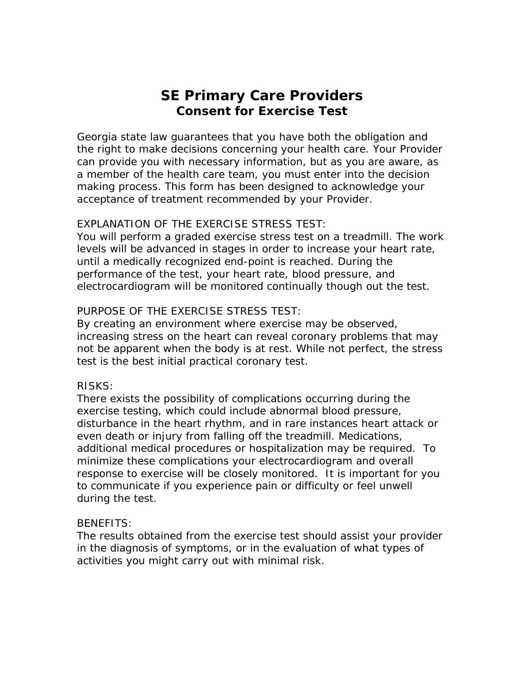# **SE Primary Care Providers Consent for Exercise Test**

Georgia state law guarantees that you have both the obligation and the right to make decisions concerning your health care. Your Provider can provide you with necessary information, but as you are aware, as a member of the health care team, you must enter into the decision making process. This form has been designed to acknowledge your acceptance of treatment recommended by your Provider.

#### EXPLANATION OF THE EXERCISE STRESS TEST:

You will perform a graded exercise stress test on a treadmill. The work levels will be advanced in stages in order to increase your heart rate, until a medically recognized end-point is reached. During the performance of the test, your heart rate, blood pressure, and electrocardiogram will be monitored continually though out the test.

## PURPOSE OF THE EXERCISE STRESS TEST:

By creating an environment where exercise may be observed, increasing stress on the heart can reveal coronary problems that may not be apparent when the body is at rest. While not perfect, the stress test is the best initial practical coronary test.

## RISKS:

There exists the possibility of complications occurring during the exercise testing, which could include abnormal blood pressure, disturbance in the heart rhythm, and in rare instances heart attack or even death or injury from falling off the treadmill. Medications, additional medical procedures or hospitalization may be required. To minimize these complications your electrocardiogram and overall response to exercise will be closely monitored. It is important for you to communicate if you experience pain or difficulty or feel unwell during the test.

## BENEFITS:

The results obtained from the exercise test should assist your provider in the diagnosis of symptoms, or in the evaluation of what types of activities you might carry out with minimal risk.